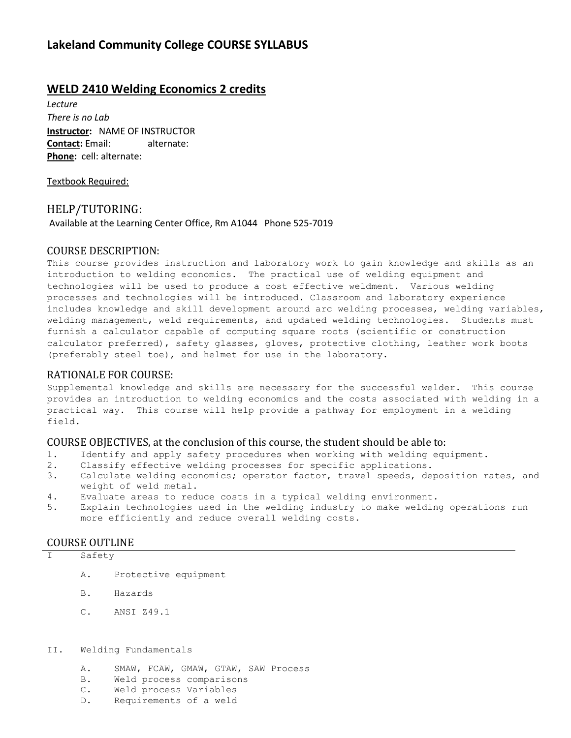# **Lakeland Community College COURSE SYLLABUS**

# **WELD 2410 Welding Economics 2 credits**

*Lecture There is no Lab* **Instructor:** NAME OF INSTRUCTOR **Contact:** Email: alternate: **Phone:** cell: alternate:

Textbook Required:

#### HELP/TUTORING:

Available at the Learning Center Office, Rm A1044 Phone 525-7019

#### COURSE DESCRIPTION:

This course provides instruction and laboratory work to gain knowledge and skills as an introduction to welding economics. The practical use of welding equipment and technologies will be used to produce a cost effective weldment. Various welding processes and technologies will be introduced. Classroom and laboratory experience includes knowledge and skill development around arc welding processes, welding variables, welding management, weld requirements, and updated welding technologies. Students must furnish a calculator capable of computing square roots (scientific or construction calculator preferred), safety glasses, gloves, protective clothing, leather work boots (preferably steel toe), and helmet for use in the laboratory.

#### RATIONALE FOR COURSE:

Supplemental knowledge and skills are necessary for the successful welder. This course provides an introduction to welding economics and the costs associated with welding in a practical way. This course will help provide a pathway for employment in a welding field.

#### COURSE OBJECTIVES, at the conclusion of this course, the student should be able to:

- 1. Identify and apply safety procedures when working with welding equipment.
- 2. Classify effective welding processes for specific applications.
- 3. Calculate welding economics; operator factor, travel speeds, deposition rates, and weight of weld metal.
- 4. Evaluate areas to reduce costs in a typical welding environment.
- 5. Explain technologies used in the welding industry to make welding operations run more efficiently and reduce overall welding costs.

#### COURSE OUTLINE

#### I Safety

- A. Protective equipment
- B. Hazards
- C. ANSI Z49.1
- II. Welding Fundamentals
	- A. SMAW, FCAW, GMAW, GTAW, SAW Process
	- B. Weld process comparisons
	- C. Weld process Variables
	- D. Requirements of a weld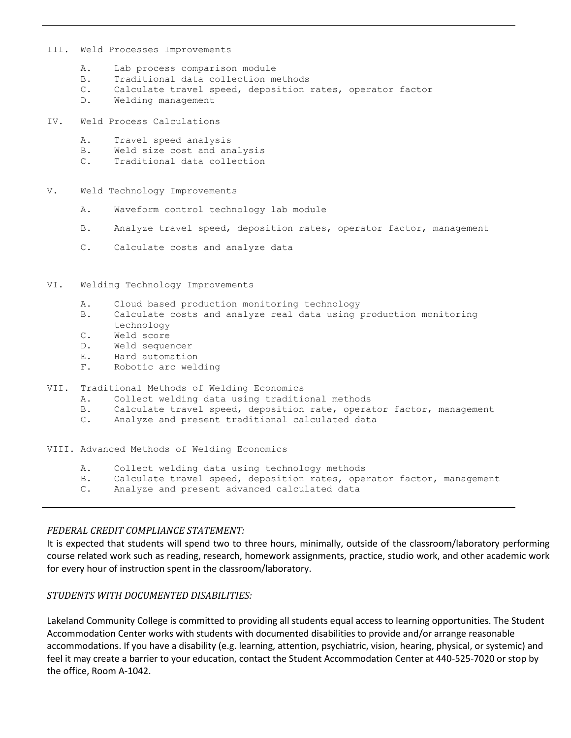- III. Weld Processes Improvements
	- A. Lab process comparison module
	- B. Traditional data collection methods
	- C. Calculate travel speed, deposition rates, operator factor
	- D. Welding management
- IV. Weld Process Calculations
	- A. Travel speed analysis
	- B. Weld size cost and analysis
	- C. Traditional data collection
- V. Weld Technology Improvements
	- A. Waveform control technology lab module
	- B. Analyze travel speed, deposition rates, operator factor, management
	- C. Calculate costs and analyze data
- VI. Welding Technology Improvements
	- A. Cloud based production monitoring technology
	- B. Calculate costs and analyze real data using production monitoring technology
	- C. Weld score
	- D. Weld sequencer
	- E. Hard automation
	- F. Robotic arc welding
- VII. Traditional Methods of Welding Economics
	- A. Collect welding data using traditional methods
	- B. Calculate travel speed, deposition rate, operator factor, management
	- C. Analyze and present traditional calculated data

VIII. Advanced Methods of Welding Economics

- A. Collect welding data using technology methods
- B. Calculate travel speed, deposition rates, operator factor, management
- C. Analyze and present advanced calculated data

#### *FEDERAL CREDIT COMPLIANCE STATEMENT:*

It is expected that students will spend two to three hours, minimally, outside of the classroom/laboratory performing course related work such as reading, research, homework assignments, practice, studio work, and other academic work for every hour of instruction spent in the classroom/laboratory.

#### *STUDENTS WITH DOCUMENTED DISABILITIES:*

Lakeland Community College is committed to providing all students equal access to learning opportunities. The Student Accommodation Center works with students with documented disabilities to provide and/or arrange reasonable accommodations. If you have a disability (e.g. learning, attention, psychiatric, vision, hearing, physical, or systemic) and feel it may create a barrier to your education, contact the Student Accommodation Center at 440-525-7020 or stop by the office, Room A-1042.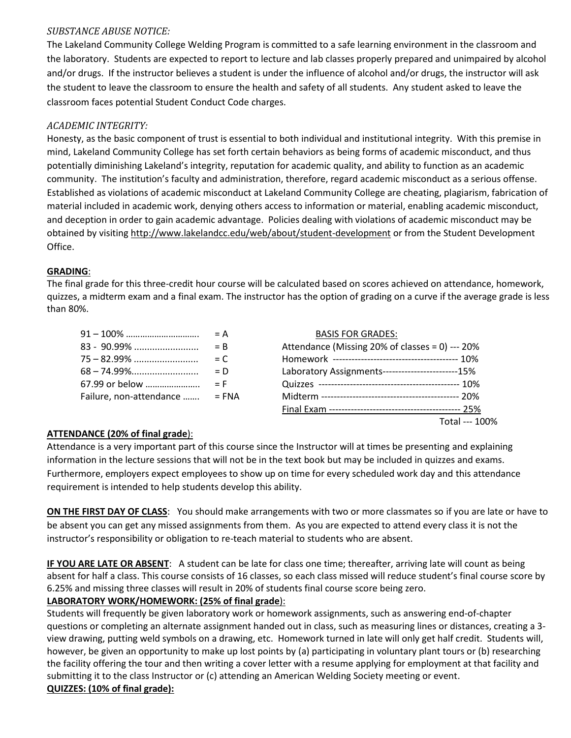### *SUBSTANCE ABUSE NOTICE:*

The Lakeland Community College Welding Program is committed to a safe learning environment in the classroom and the laboratory. Students are expected to report to lecture and lab classes properly prepared and unimpaired by alcohol and/or drugs. If the instructor believes a student is under the influence of alcohol and/or drugs, the instructor will ask the student to leave the classroom to ensure the health and safety of all students. Any student asked to leave the classroom faces potential Student Conduct Code charges.

## *ACADEMIC INTEGRITY:*

Honesty, as the basic component of trust is essential to both individual and institutional integrity. With this premise in mind, Lakeland Community College has set forth certain behaviors as being forms of academic misconduct, and thus potentially diminishing Lakeland's integrity, reputation for academic quality, and ability to function as an academic community. The institution's faculty and administration, therefore, regard academic misconduct as a serious offense. Established as violations of academic misconduct at Lakeland Community College are cheating, plagiarism, fabrication of material included in academic work, denying others access to information or material, enabling academic misconduct, and deception in order to gain academic advantage. Policies dealing with violations of academic misconduct may be obtained by visiting<http://www.lakelandcc.edu/web/about/student-development> or from the Student Development Office.

### **GRADING**:

The final grade for this three-credit hour course will be calculated based on scores achieved on attendance, homework, quizzes, a midterm exam and a final exam. The instructor has the option of grading on a curve if the average grade is less than 80%.

|                         | $= A$      |
|-------------------------|------------|
| 83 - 90.99%             | $=$ B      |
|                         | $= C$      |
|                         | $= D$      |
| 67.99 or below          | $=$ F      |
| Failure, non-attendance | $=$ FN $/$ |
|                         |            |

|                                | <b>BASIS FOR GRADES:</b>                          |  |
|--------------------------------|---------------------------------------------------|--|
|                                | Attendance (Missing 20% of classes = 0) --- 20%   |  |
|                                |                                                   |  |
|                                | Laboratory Assignments------------------------15% |  |
|                                |                                                   |  |
| Failure, non-attendance  = FNA |                                                   |  |
|                                |                                                   |  |
|                                | Total --- 100%                                    |  |
|                                |                                                   |  |

# **ATTENDANCE (20% of final grade**):

Attendance is a very important part of this course since the Instructor will at times be presenting and explaining information in the lecture sessions that will not be in the text book but may be included in quizzes and exams. Furthermore, employers expect employees to show up on time for every scheduled work day and this attendance requirement is intended to help students develop this ability.

**ON THE FIRST DAY OF CLASS**: You should make arrangements with two or more classmates so if you are late or have to be absent you can get any missed assignments from them. As you are expected to attend every class it is not the instructor's responsibility or obligation to re-teach material to students who are absent.

**IF YOU ARE LATE OR ABSENT**: A student can be late for class one time; thereafter, arriving late will count as being absent for half a class. This course consists of 16 classes, so each class missed will reduce student's final course score by 6.25% and missing three classes will result in 20% of students final course score being zero.

# **LABORATORY WORK/HOMEWORK: (25% of final grade**):

Students will frequently be given laboratory work or homework assignments, such as answering end-of-chapter questions or completing an alternate assignment handed out in class, such as measuring lines or distances, creating a 3 view drawing, putting weld symbols on a drawing, etc. Homework turned in late will only get half credit. Students will, however, be given an opportunity to make up lost points by (a) participating in voluntary plant tours or (b) researching the facility offering the tour and then writing a cover letter with a resume applying for employment at that facility and submitting it to the class Instructor or (c) attending an American Welding Society meeting or event. **QUIZZES: (10% of final grade):**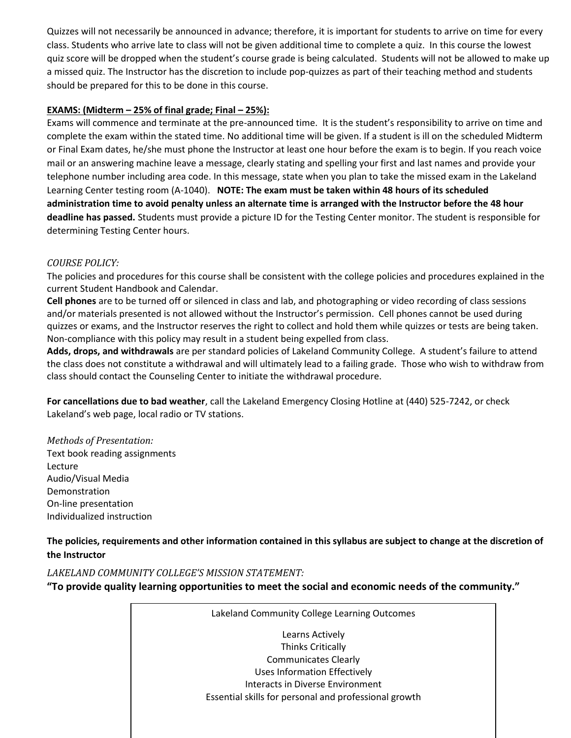Quizzes will not necessarily be announced in advance; therefore, it is important for students to arrive on time for every class. Students who arrive late to class will not be given additional time to complete a quiz. In this course the lowest quiz score will be dropped when the student's course grade is being calculated. Students will not be allowed to make up a missed quiz. The Instructor has the discretion to include pop-quizzes as part of their teaching method and students should be prepared for this to be done in this course.

### **EXAMS: (Midterm – 25% of final grade; Final – 25%):**

Exams will commence and terminate at the pre-announced time. It is the student's responsibility to arrive on time and complete the exam within the stated time. No additional time will be given. If a student is ill on the scheduled Midterm or Final Exam dates, he/she must phone the Instructor at least one hour before the exam is to begin. If you reach voice mail or an answering machine leave a message, clearly stating and spelling your first and last names and provide your telephone number including area code. In this message, state when you plan to take the missed exam in the Lakeland Learning Center testing room (A-1040). **NOTE: The exam must be taken within 48 hours of its scheduled administration time to avoid penalty unless an alternate time is arranged with the Instructor before the 48 hour deadline has passed.** Students must provide a picture ID for the Testing Center monitor. The student is responsible for determining Testing Center hours.

### *COURSE POLICY:*

The policies and procedures for this course shall be consistent with the college policies and procedures explained in the current Student Handbook and Calendar.

**Cell phones** are to be turned off or silenced in class and lab, and photographing or video recording of class sessions and/or materials presented is not allowed without the Instructor's permission. Cell phones cannot be used during quizzes or exams, and the Instructor reserves the right to collect and hold them while quizzes or tests are being taken. Non-compliance with this policy may result in a student being expelled from class.

**Adds, drops, and withdrawals** are per standard policies of Lakeland Community College. A student's failure to attend the class does not constitute a withdrawal and will ultimately lead to a failing grade. Those who wish to withdraw from class should contact the Counseling Center to initiate the withdrawal procedure.

**For cancellations due to bad weather**, call the Lakeland Emergency Closing Hotline at (440) 525-7242, or check Lakeland's web page, local radio or TV stations.

*Methods of Presentation:* Text book reading assignments Lecture Audio/Visual Media Demonstration On-line presentation Individualized instruction

**The policies, requirements and other information contained in this syllabus are subject to change at the discretion of the Instructor**

### *LAKELAND COMMUNITY COLLEGE'S MISSION STATEMENT:*

**"To provide quality learning opportunities to meet the social and economic needs of the community."**

Lakeland Community College Learning Outcomes Learns Actively Thinks Critically Communicates Clearly Uses Information Effectively Interacts in Diverse Environment Essential skills for personal and professional growth